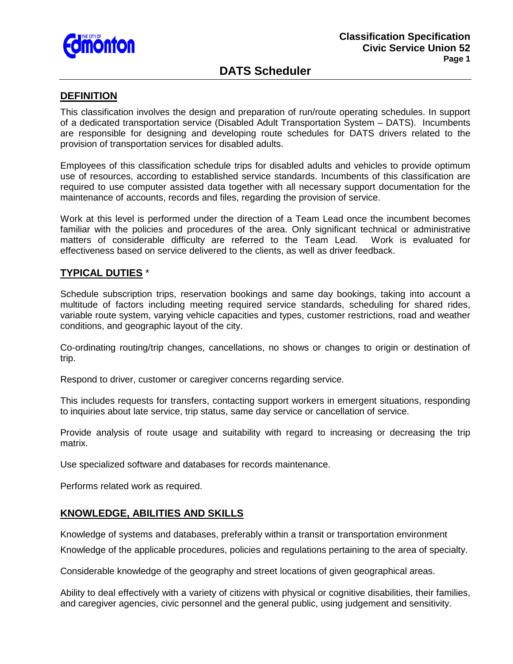

# **DATS Scheduler**

#### **DEFINITION**

This classification involves the design and preparation of run/route operating schedules. In support of a dedicated transportation service (Disabled Adult Transportation System – DATS). Incumbents are responsible for designing and developing route schedules for DATS drivers related to the provision of transportation services for disabled adults.

Employees of this classification schedule trips for disabled adults and vehicles to provide optimum use of resources, according to established service standards. Incumbents of this classification are required to use computer assisted data together with all necessary support documentation for the maintenance of accounts, records and files, regarding the provision of service.

Work at this level is performed under the direction of a Team Lead once the incumbent becomes familiar with the policies and procedures of the area. Only significant technical or administrative matters of considerable difficulty are referred to the Team Lead. Work is evaluated for effectiveness based on service delivered to the clients, as well as driver feedback.

### **TYPICAL DUTIES** \*

Schedule subscription trips, reservation bookings and same day bookings, taking into account a multitude of factors including meeting required service standards, scheduling for shared rides, variable route system, varying vehicle capacities and types, customer restrictions, road and weather conditions, and geographic layout of the city.

Co-ordinating routing/trip changes, cancellations, no shows or changes to origin or destination of trip.

Respond to driver, customer or caregiver concerns regarding service.

This includes requests for transfers, contacting support workers in emergent situations, responding to inquiries about late service, trip status, same day service or cancellation of service.

Provide analysis of route usage and suitability with regard to increasing or decreasing the trip matrix.

Use specialized software and databases for records maintenance.

Performs related work as required.

#### **KNOWLEDGE, ABILITIES AND SKILLS**

Knowledge of systems and databases, preferably within a transit or transportation environment

Knowledge of the applicable procedures, policies and regulations pertaining to the area of specialty.

Considerable knowledge of the geography and street locations of given geographical areas.

Ability to deal effectively with a variety of citizens with physical or cognitive disabilities, their families, and caregiver agencies, civic personnel and the general public, using judgement and sensitivity.